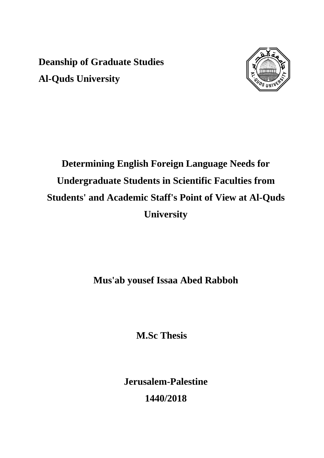**Deanship of Graduate Studies Al-Quds University** 



# **Determining English Foreign Language Needs for Undergraduate Students in Scientific Faculties from Students' and Academic Staff's Point of View at Al-Quds University**

**Mus'ab yousef Issaa Abed Rabboh** 

**M.Sc Thesis** 

**Jerusalem-Palestine 1440/2018**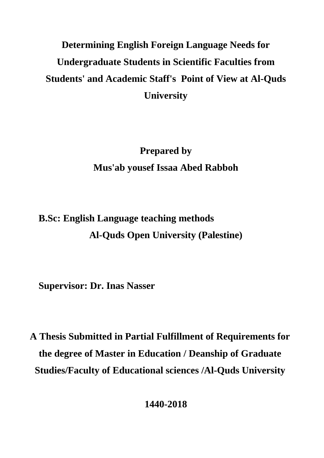## **Determining English Foreign Language Needs for Undergraduate Students in Scientific Faculties from Students' and Academic Staff's Point of View at Al-Quds University**

**Prepared by Mus'ab yousef Issaa Abed Rabboh** 

## **B.Sc: English Language teaching methods Al-Quds Open University (Palestine)**

**Supervisor: Dr. Inas Nasser** 

**A Thesis Submitted in Partial Fulfillment of Requirements for the degree of Master in Education / Deanship of Graduate Studies/Faculty of Educational sciences /Al-Quds University** 

**1440-2018**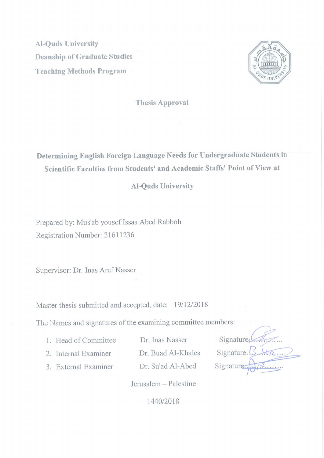**Al-Ouds University Deanship of Graduate Studies Teaching Methods Program** 



**Thesis Approval** 

Determining English Foreign Language Needs for Undergraduate Students in Scientific Faculties from Students' and Academic Staffs' Point of View at

#### **Al-Quds University**

Prepared by: Mus'ab yousef Issaa Abed Rabboh Registration Number: 21611236

Supervisor: Dr. Inas Aref Nasser

Master thesis submitted and accepted, date: 19/12/2018

The Names and signatures of the examining committee members:

1. Head of Committee

Dr. Inas Nasser

- 2. Internal Examiner
- Dr. Buad Al-Khales
- 3. External Examiner

Dr. Su'ad Al-Abed

Signature Signature. Signature 10

Jerusalem - Palestine

1440/2018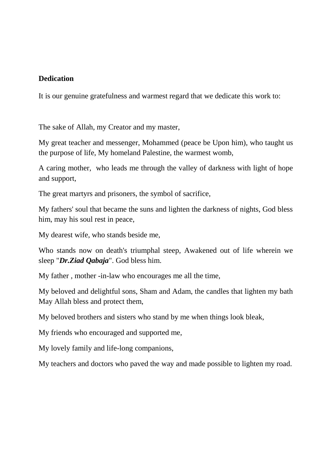#### **Dedication**

It is our genuine gratefulness and warmest regard that we dedicate this work to:

The sake of Allah, my Creator and my master,

My great teacher and messenger, Mohammed (peace be Upon him), who taught us the purpose of life, My homeland Palestine, the warmest womb,

A caring mother, who leads me through the valley of darkness with light of hope and support,

The great martyrs and prisoners, the symbol of sacrifice,

My fathers' soul that became the suns and lighten the darkness of nights, God bless him, may his soul rest in peace,

My dearest wife, who stands beside me,

Who stands now on death's triumphal steep, Awakened out of life wherein we sleep "*Dr.Ziad Qabaja*". God bless him.

My father , mother -in-law who encourages me all the time,

My beloved and delightful sons, Sham and Adam, the candles that lighten my bath May Allah bless and protect them,

My beloved brothers and sisters who stand by me when things look bleak,

My friends who encouraged and supported me,

My lovely family and life-long companions,

My teachers and doctors who paved the way and made possible to lighten my road.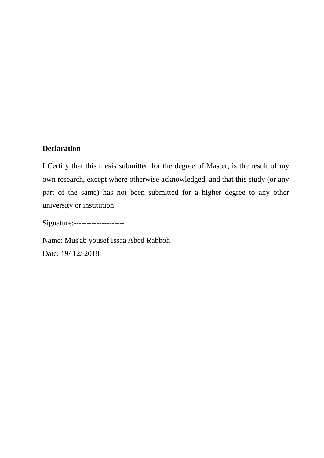#### **Declaration**

I Certify that this thesis submitted for the degree of Master, is the result of my own research, except where otherwise acknowledged, and that this study (or any part of the same) has not been submitted for a higher degree to any other university or institution.

Signature:--------------------

Name: Mus'ab yousef Issaa Abed Rabboh Date: 19/ 12/ 2018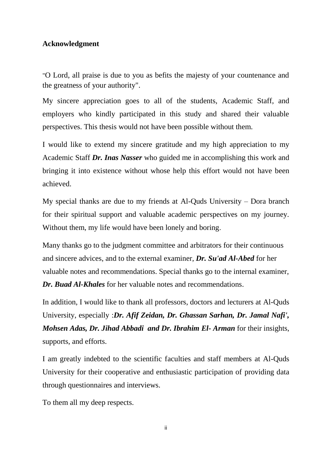#### **Acknowledgment**

"O Lord, all praise is due to you as befits the majesty of your countenance and the greatness of your authority".

My sincere appreciation goes to all of the students, Academic Staff, and employers who kindly participated in this study and shared their valuable perspectives. This thesis would not have been possible without them.

I would like to extend my sincere gratitude and my high appreciation to my Academic Staff *Dr. Inas Nasser* who guided me in accomplishing this work and bringing it into existence without whose help this effort would not have been achieved.

My special thanks are due to my friends at Al-Quds University – Dora branch for their spiritual support and valuable academic perspectives on my journey. Without them, my life would have been lonely and boring.

Many thanks go to the judgment committee and arbitrators for their continuous and sincere advices, and to the external examiner, *Dr. Su'ad Al-Abed* for her valuable notes and recommendations. Special thanks go to the internal examiner, *Dr. Buad Al-Khales* for her valuable notes and recommendations.

In addition, I would like to thank all professors, doctors and lecturers at Al-Quds University, especially :*Dr. Afif Zeidan, Dr. Ghassan Sarhan, Dr. Jamal Nafi', Mohsen Adas, Dr. Jihad Abbadi and Dr. Ibrahim El- Arman* for their insights, supports, and efforts.

I am greatly indebted to the scientific faculties and staff members at Al-Quds University for their cooperative and enthusiastic participation of providing data through questionnaires and interviews.

To them all my deep respects.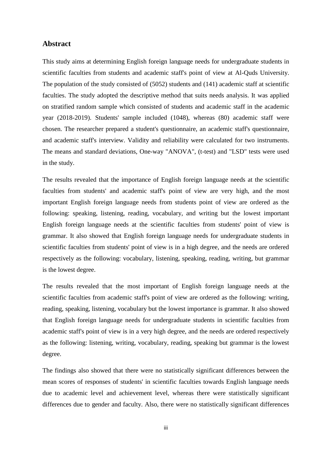#### **Abstract**

This study aims at determining English foreign language needs for undergraduate students in scientific faculties from students and academic staff's point of view at Al-Quds University. The population of the study consisted of (5052) students and (141) academic staff at scientific faculties. The study adopted the descriptive method that suits needs analysis. It was applied on stratified random sample which consisted of students and academic staff in the academic year (2018-2019). Students' sample included (1048), whereas (80) academic staff were chosen. The researcher prepared a student's questionnaire, an academic staff's questionnaire, and academic staff's interview. Validity and reliability were calculated for two instruments. The means and standard deviations, One-way "ANOVA", (t-test) and "LSD" tests were used in the study.

The results revealed that the importance of English foreign language needs at the scientific faculties from students' and academic staff's point of view are very high, and the most important English foreign language needs from students point of view are ordered as the following: speaking, listening, reading, vocabulary, and writing but the lowest important English foreign language needs at the scientific faculties from students' point of view is grammar. It also showed that English foreign language needs for undergraduate students in scientific faculties from students' point of view is in a high degree, and the needs are ordered respectively as the following: vocabulary, listening, speaking, reading, writing, but grammar is the lowest degree.

The results revealed that the most important of English foreign language needs at the scientific faculties from academic staff's point of view are ordered as the following: writing, reading, speaking, listening, vocabulary but the lowest importance is grammar. It also showed that English foreign language needs for undergraduate students in scientific faculties from academic staff's point of view is in a very high degree, and the needs are ordered respectively as the following: listening, writing, vocabulary, reading, speaking but grammar is the lowest degree.

The findings also showed that there were no statistically significant differences between the mean scores of responses of students' in scientific faculties towards English language needs due to academic level and achievement level, whereas there were statistically significant differences due to gender and faculty. Also, there were no statistically significant differences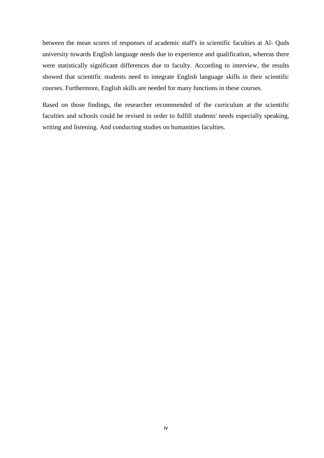between the mean scores of responses of academic staff's in scientific faculties at Al- Quds university towards English language needs due to experience and qualification, whereas there were statistically significant differences due to faculty. According to interview, the results showed that scientific students need to integrate English language skills in their scientific courses. Furthermore, English skills are needed for many functions in these courses.

Based on those findings, the researcher recommended of the curriculum at the scientific faculties and schools could be revised in order to fulfill students' needs especially speaking, writing and listening. And conducting studies on humanities faculties.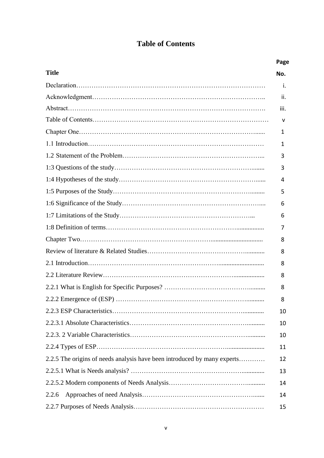### **Table of Contents**

|                                                                          | Page |
|--------------------------------------------------------------------------|------|
| <b>Title</b>                                                             | No.  |
|                                                                          | j.   |
|                                                                          | ii.  |
|                                                                          | iii. |
|                                                                          | v    |
|                                                                          | 1    |
|                                                                          | 1    |
|                                                                          | 3    |
|                                                                          | 3    |
|                                                                          | 4    |
|                                                                          | 5    |
|                                                                          | 6    |
|                                                                          | 6    |
|                                                                          | 7    |
|                                                                          | 8    |
|                                                                          | 8    |
|                                                                          | 8    |
|                                                                          | 8    |
|                                                                          | 8    |
|                                                                          | 8    |
|                                                                          | 10   |
|                                                                          | 10   |
|                                                                          | 10   |
|                                                                          | 11   |
| 2.2.5 The origins of needs analysis have been introduced by many experts | 12   |
|                                                                          | 13   |
|                                                                          | 14   |
| 2.2.6                                                                    | 14   |
|                                                                          | 15   |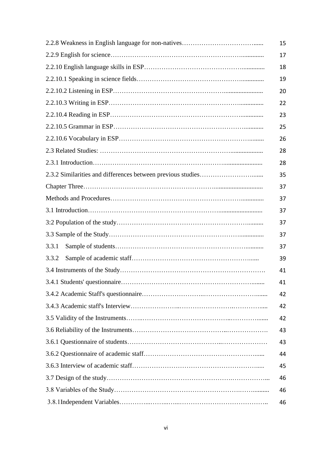|       | 15 |
|-------|----|
|       | 17 |
|       | 18 |
|       | 19 |
|       | 20 |
|       | 22 |
|       | 23 |
|       | 25 |
|       | 26 |
|       | 28 |
|       | 28 |
|       | 35 |
|       | 37 |
|       | 37 |
|       | 37 |
|       | 37 |
|       | 37 |
| 3.3.1 | 37 |
| 3.3.2 | 39 |
|       | 41 |
|       | 41 |
|       | 42 |
|       | 42 |
|       | 42 |
|       | 43 |
|       | 43 |
|       | 44 |
|       | 45 |
|       | 46 |
|       | 46 |
|       | 46 |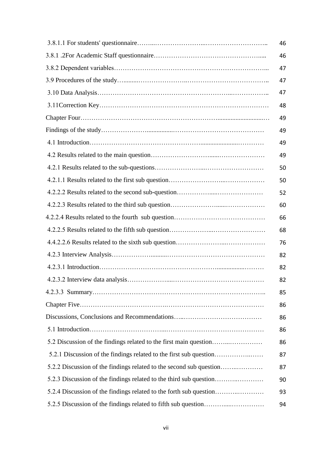|                                                                     | 46 |
|---------------------------------------------------------------------|----|
|                                                                     | 46 |
|                                                                     | 47 |
|                                                                     | 47 |
|                                                                     | 47 |
|                                                                     | 48 |
|                                                                     | 49 |
|                                                                     | 49 |
|                                                                     | 49 |
|                                                                     | 49 |
|                                                                     | 50 |
|                                                                     | 50 |
|                                                                     | 52 |
|                                                                     | 60 |
|                                                                     | 66 |
|                                                                     | 68 |
|                                                                     | 76 |
|                                                                     | 82 |
|                                                                     | 82 |
|                                                                     | 82 |
|                                                                     | 85 |
|                                                                     | 86 |
|                                                                     | 86 |
|                                                                     | 86 |
| 5.2 Discussion of the findings related to the first main question   | 86 |
| 5.2.1 Discussion of the findings related to the first sub question  | 87 |
| 5.2.2 Discussion of the findings related to the second sub question | 87 |
| 5.2.3 Discussion of the findings related to the third sub question  | 90 |
| 5.2.4 Discussion of the findings related to the forth sub question  | 93 |
|                                                                     | 94 |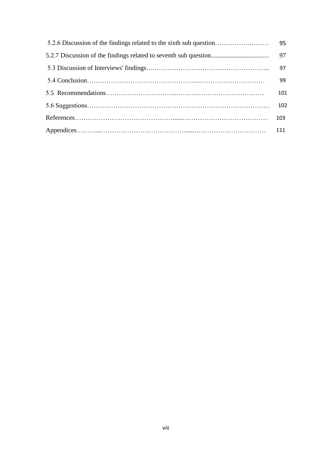| 5.2.6 Discussion of the findings related to the sixth sub question | 95  |
|--------------------------------------------------------------------|-----|
|                                                                    | 97  |
|                                                                    | 97  |
|                                                                    | 99  |
|                                                                    | 101 |
|                                                                    | 102 |
|                                                                    | 103 |
|                                                                    | 111 |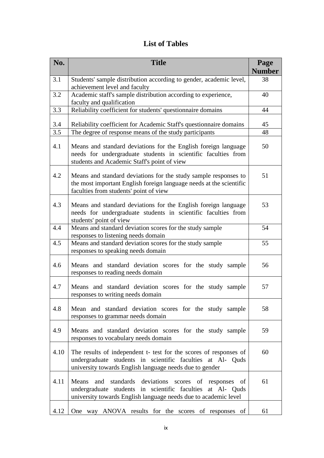### **List of Tables**

| No.  | <b>Title</b>                                                                                                                                                                                 | Page<br><b>Number</b> |
|------|----------------------------------------------------------------------------------------------------------------------------------------------------------------------------------------------|-----------------------|
| 3.1  | Students' sample distribution according to gender, academic level,                                                                                                                           | 38                    |
|      | achievement level and faculty                                                                                                                                                                |                       |
| 3.2  | Academic staff's sample distribution according to experience,<br>faculty and qualification                                                                                                   | 40                    |
| 3.3  | Reliability coefficient for students' questionnaire domains                                                                                                                                  | 44                    |
| 3.4  | Reliability coefficient for Academic Staff's questionnaire domains                                                                                                                           | 45                    |
| 3.5  | The degree of response means of the study participants                                                                                                                                       | 48                    |
| 4.1  | Means and standard deviations for the English foreign language<br>needs for undergraduate students in scientific faculties from<br>students and Academic Staff's point of view               | 50                    |
| 4.2  | Means and standard deviations for the study sample responses to<br>the most important English foreign language needs at the scientific<br>faculties from students' point of view             | 51                    |
| 4.3  | Means and standard deviations for the English foreign language<br>needs for undergraduate students in scientific faculties from<br>students' point of view                                   | 53                    |
| 4.4  | Means and standard deviation scores for the study sample<br>responses to listening needs domain                                                                                              | 54                    |
| 4.5  | Means and standard deviation scores for the study sample<br>responses to speaking needs domain                                                                                               | 55                    |
| 4.6  | Means and standard deviation scores for the study sample<br>responses to reading needs domain                                                                                                | 56                    |
| 4.7  | Means and standard deviation scores for the study sample<br>responses to writing needs domain                                                                                                | 57                    |
| 4.8  | Mean and standard deviation scores for the study sample<br>responses to grammar needs domain                                                                                                 | 58                    |
| 4.9  | Means and standard deviation scores for the study sample<br>responses to vocabulary needs domain                                                                                             | 59                    |
| 4.10 | The results of independent t- test for the scores of responses of<br>undergraduate students in scientific faculties at Al- Quds<br>university towards English language needs due to gender   | 60                    |
| 4.11 | standards deviations scores of responses of<br>Means<br>and<br>undergraduate students in scientific faculties at Al- Quds<br>university towards English language needs due to academic level | 61                    |
| 4.12 | One way ANOVA results for the scores of responses of                                                                                                                                         | 61                    |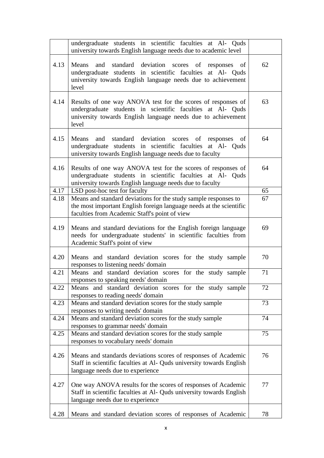|      | undergraduate students in scientific faculties at Al- Quds<br>university towards English language needs due to academic level                                                                       |    |
|------|-----------------------------------------------------------------------------------------------------------------------------------------------------------------------------------------------------|----|
| 4.13 | standard deviation scores of responses of<br>Means<br>and<br>undergraduate students in scientific faculties at Al- Quds<br>university towards English language needs due to achievement<br>level    | 62 |
| 4.14 | Results of one way ANOVA test for the scores of responses of<br>undergraduate students in scientific faculties at Al- Quds<br>university towards English language needs due to achievement<br>level | 63 |
| 4.15 | standard deviation scores of responses<br>Means<br>and<br>of<br>undergraduate students in scientific faculties at Al- Quds<br>university towards English language needs due to faculty              | 64 |
| 4.16 | Results of one way ANOVA test for the scores of responses of<br>undergraduate students in scientific faculties at Al- Quds<br>university towards English language needs due to faculty              | 64 |
| 4.17 | LSD post-hoc test for faculty                                                                                                                                                                       | 65 |
| 4.18 | Means and standard deviations for the study sample responses to<br>the most important English foreign language needs at the scientific<br>faculties from Academic Staff's point of view             | 67 |
| 4.19 | Means and standard deviations for the English foreign language<br>needs for undergraduate students' in scientific faculties from<br>Academic Staff's point of view                                  | 69 |
| 4.20 | Means and standard deviation scores for the study sample<br>responses to listening needs' domain                                                                                                    | 70 |
| 4.21 | Means and standard deviation scores for the study sample<br>responses to speaking needs' domain                                                                                                     | 71 |
| 4.22 | Means and standard deviation scores for the study sample<br>responses to reading needs' domain                                                                                                      | 72 |
| 4.23 | Means and standard deviation scores for the study sample<br>responses to writing needs' domain                                                                                                      | 73 |
| 4.24 | Means and standard deviation scores for the study sample<br>responses to grammar needs' domain                                                                                                      | 74 |
| 4.25 | Means and standard deviation scores for the study sample<br>responses to vocabulary needs' domain                                                                                                   | 75 |
| 4.26 | Means and standards deviations scores of responses of Academic<br>Staff in scientific faculties at Al- Quds university towards English<br>language needs due to experience                          | 76 |
| 4.27 | One way ANOVA results for the scores of responses of Academic<br>Staff in scientific faculties at Al- Quds university towards English<br>language needs due to experience                           | 77 |
| 4.28 | Means and standard deviation scores of responses of Academic                                                                                                                                        | 78 |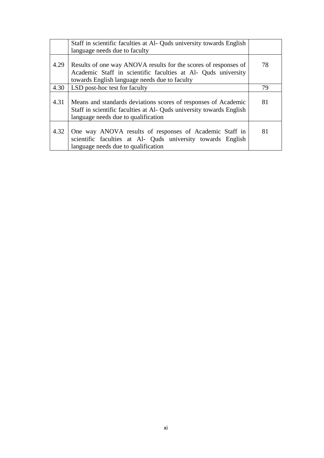|      | Staff in scientific faculties at Al- Quds university towards English                                                                                                              |    |
|------|-----------------------------------------------------------------------------------------------------------------------------------------------------------------------------------|----|
|      | language needs due to faculty                                                                                                                                                     |    |
| 4.29 | Results of one way ANOVA results for the scores of responses of<br>Academic Staff in scientific faculties at Al- Quds university<br>towards English language needs due to faculty | 78 |
| 4.30 | LSD post-hoc test for faculty                                                                                                                                                     | 79 |
| 4.31 | Means and standards deviations scores of responses of Academic<br>Staff in scientific faculties at Al- Quds university towards English<br>language needs due to qualification     | 81 |
| 4.32 | One way ANOVA results of responses of Academic Staff in<br>scientific faculties at Al- Quds university towards English<br>language needs due to qualification                     | 81 |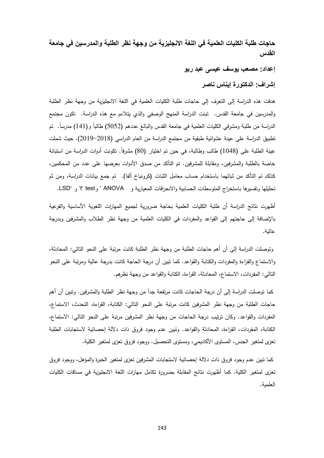**حاجات طلبة الكليات العلمية في اللغة االنجليزية من وجهة نظر الطلبة والمدرسين في جامعة القدس**

**إعداد: مصعب يوسف عيسى عبد ربو**

**إشراف: الدكتورة إيناس ناصر**

هدفت هذه الدراسة إلى التعرف إلى حاجات طلبة الكليات العلمية في اللغة الانجليزية من وجهة نظر الطلبة والمدرسين في جامعة القدس. تبنت الدراسة المنهج الوصفي والذي يتالءم مع هذه الدراسة. تكون مجتمع الدراسة من طلبة ومشرفي الكليات العلمية في جامعة القدس والبالغ عددهم (5052) طالباً و(141) مدرساً. تم تطبيق الدراسة على عينة عشوائية طبقية من مجتمع الدراسة من العام الدراسي (2018–2019). حيث شملت عينة الطلبة على (1048) طالب وطالبة، في حين تم اختيار (80) مشرفاً. تكونت أدوات الدراسة من استبانة خاصة بالطلبة والمشرفين، ومقابلة للمشرفين. تم التأكد من صدق الأدوات بعرضها على عدد من المحكمين، كذلك تم التأكد من ثباتهما باستخدام حساب معامل الثبات (كرونباخ ألفا). تم جمع بيانات الدراسة، ومن ثم تحليلها وتفسيرها باستخراج المتوسطات الحسابية والانحرافات المعيارية و ANOVA " و LSD" و LSD.

أظهرت نتائج الدراسة أن طلبة الكليات العلمية بحاجة ضرورية لجميع المهارات اللغوية الأساسية والفرعية باإلضافة إلى حاجتهم إلى القواعد والمفردات في الكميات العممية من وجهة نظر الطالب والمشرفين وبدرجة عالية.

وتوصمت الدراسة إلى أن أهم حاجات الطمبة من وجهة نظر الطمبة كانت مرتبة عمى النحو التالي: المحادثة، والاستماع والقراءة والمفردات والكتابة والقواعد. كما نبين أن درجة الحاجة كانت بدرجة عالية ومرتبة على النحو التالي: المفردات، االستماع، المحادثة، القراءة، الكتابة والقواعد من وجهة نظرهم.

كما توصلت الدراسة إلى أن درجة الحاجات كانت مرتفعة جدا من وجهة نظر الطلبة والمشرفين. وتبين أن أهم حاجات الطمبة من وجهة نظر المشرفين كانت مرتبة عمى النحو التالي: الكتابة، القراءة، التحدث، االستماع، المفردات والقواعد. وكان ترتيب درجة الحاجات من وجهة نظر المشرفين مرتبة عمى النحو التالي: االستماع، الكتابة، المفردات، القراءة، المحادثة والقواعد. وتبين عدم وجود فروق ذات داللة إحصائية الستجابات الطمبة تعزى لمتغير الجنس، المستوى الأكاديمي، ومستوى التحصيل. ووجود فروق تعزى لمتغير الكلية.

كما تبين عدم وجود فروق ذات داللة إحصائية الستجابات المشرفين تعزى لمتغير الخبرة والمؤهل، ووجود فروق تعزى لمتغير الكلية. كما أظهرت نتائج المقابلة بضرورة تكامل مهارات اللغة الانجليزية في مساقات الكليات العلمية.